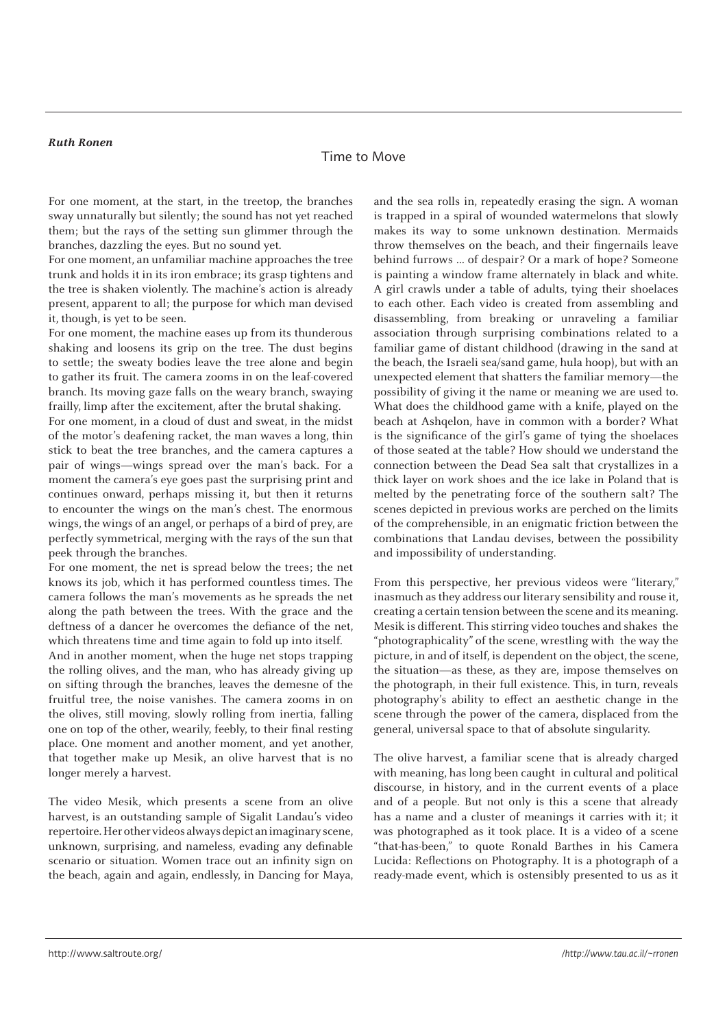## **Ruth Ronen**

## Time to Move

For one moment, at the start, in the treetop, the branches sway unnaturally but silently; the sound has not yet reached them; but the rays of the setting sun glimmer through the branches, dazzling the eyes. But no sound yet.

For one moment, an unfamiliar machine approaches the tree trunk and holds it in its iron embrace; its grasp tightens and the tree is shaken violently. The machine's action is already present, apparent to all; the purpose for which man devised it, though, is yet to be seen.

For one moment, the machine eases up from its thunderous shaking and loosens its grip on the tree. The dust begins to settle; the sweaty bodies leave the tree alone and begin to gather its fruit. The camera zooms in on the leaf-covered branch. Its moving gaze falls on the weary branch, swaying frailly, limp after the excitement, after the brutal shaking.

For one moment, in a cloud of dust and sweat, in the midst of the motor's deafening racket, the man waves a long, thin stick to beat the tree branches, and the camera captures a pair of wings—wings spread over the man's back. For a moment the camera's eye goes past the surprising print and continues onward, perhaps missing it, but then it returns to encounter the wings on the man's chest. The enormous wings, the wings of an angel, or perhaps of a bird of prey, are perfectly symmetrical, merging with the rays of the sun that peek through the branches.

For one moment, the net is spread below the trees; the net knows its job, which it has performed countless times. The camera follows the man's movements as he spreads the net along the path between the trees. With the grace and the deftness of a dancer he overcomes the defiance of the net, which threatens time and time again to fold up into itself.

And in another moment, when the huge net stops trapping the rolling olives, and the man, who has already giving up on sifting through the branches, leaves the demesne of the fruitful tree, the noise vanishes. The camera zooms in on the olives, still moving, slowly rolling from inertia, falling one on top of the other, wearily, feebly, to their final resting place. One moment and another moment, and yet another, that together make up Mesik, an olive harvest that is no longer merely a harvest.

The video Mesik, which presents a scene from an olive harvest, is an outstanding sample of Sigalit Landau's video repertoire. Her other videos always depict an imaginary scene, unknown, surprising, and nameless, evading any definable scenario or situation. Women trace out an infinity sign on the beach, again and again, endlessly, in Dancing for Maya,

and the sea rolls in, repeatedly erasing the sign. A woman is trapped in a spiral of wounded watermelons that slowly makes its way to some unknown destination. Mermaids throw themselves on the beach, and their fingernails leave behind furrows … of despair? Or a mark of hope? Someone is painting a window frame alternately in black and white. A girl crawls under a table of adults, tying their shoelaces to each other. Each video is created from assembling and disassembling, from breaking or unraveling a familiar association through surprising combinations related to a familiar game of distant childhood (drawing in the sand at the beach, the Israeli sea/sand game, hula hoop), but with an unexpected element that shatters the familiar memory—the possibility of giving it the name or meaning we are used to. What does the childhood game with a knife, played on the beach at Ashqelon, have in common with a border? What is the significance of the girl's game of tying the shoelaces of those seated at the table? How should we understand the connection between the Dead Sea salt that crystallizes in a thick layer on work shoes and the ice lake in Poland that is melted by the penetrating force of the southern salt? The scenes depicted in previous works are perched on the limits of the comprehensible, in an enigmatic friction between the combinations that Landau devises, between the possibility and impossibility of understanding.

From this perspective, her previous videos were "literary," inasmuch as they address our literary sensibility and rouse it, creating a certain tension between the scene and its meaning. Mesik is different. This stirring video touches and shakes the "photographicality" of the scene, wrestling with the way the picture, in and of itself, is dependent on the object, the scene, the situation—as these, as they are, impose themselves on the photograph, in their full existence. This, in turn, reveals photography's ability to effect an aesthetic change in the scene through the power of the camera, displaced from the general, universal space to that of absolute singularity.

The olive harvest, a familiar scene that is already charged with meaning, has long been caught in cultural and political discourse, in history, and in the current events of a place and of a people. But not only is this a scene that already has a name and a cluster of meanings it carries with it; it was photographed as it took place. It is a video of a scene "that-has-been," to quote Ronald Barthes in his Camera Lucida: Reflections on Photography. It is a photograph of a ready-made event, which is ostensibly presented to us as it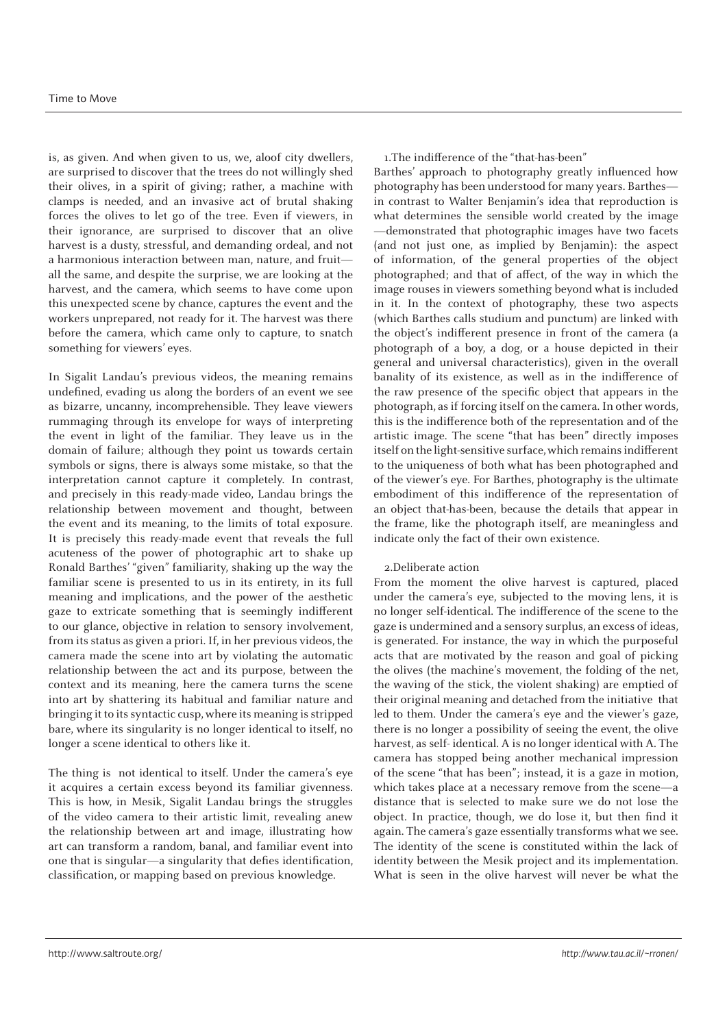## Time to Move

is, as given. And when given to us, we, aloof city dwellers, are surprised to discover that the trees do not willingly shed their olives, in a spirit of giving; rather, a machine with clamps is needed, and an invasive act of brutal shaking forces the olives to let go of the tree. Even if viewers, in their ignorance, are surprised to discover that an olive harvest is a dusty, stressful, and demanding ordeal, and not a harmonious interaction between man, nature, and fruit all the same, and despite the surprise, we are looking at the harvest, and the camera, which seems to have come upon this unexpected scene by chance, captures the event and the workers unprepared, not ready for it. The harvest was there before the camera, which came only to capture, to snatch something for viewers' eyes.

In Sigalit Landau's previous videos, the meaning remains undefined, evading us along the borders of an event we see as bizarre, uncanny, incomprehensible. They leave viewers rummaging through its envelope for ways of interpreting the event in light of the familiar. They leave us in the domain of failure; although they point us towards certain symbols or signs, there is always some mistake, so that the interpretation cannot capture it completely. In contrast, and precisely in this ready-made video, Landau brings the relationship between movement and thought, between the event and its meaning, to the limits of total exposure. It is precisely this ready-made event that reveals the full acuteness of the power of photographic art to shake up Ronald Barthes' "given" familiarity, shaking up the way the familiar scene is presented to us in its entirety, in its full meaning and implications, and the power of the aesthetic gaze to extricate something that is seemingly indifferent to our glance, objective in relation to sensory involvement, from its status as given a priori. If, in her previous videos, the camera made the scene into art by violating the automatic relationship between the act and its purpose, between the context and its meaning, here the camera turns the scene into art by shattering its habitual and familiar nature and bringing it to its syntactic cusp, where its meaning is stripped bare, where its singularity is no longer identical to itself, no longer a scene identical to others like it.

The thing is not identical to itself. Under the camera's eye it acquires a certain excess beyond its familiar givenness. This is how, in Mesik, Sigalit Landau brings the struggles of the video camera to their artistic limit, revealing anew the relationship between art and image, illustrating how art can transform a random, banal, and familiar event into one that is singular—a singularity that defies identification, classification, or mapping based on previous knowledge.

1.The indifference of the "that-has-been"

Barthes' approach to photography greatly influenced how photography has been understood for many years. Barthes in contrast to Walter Benjamin's idea that reproduction is what determines the sensible world created by the image —demonstrated that photographic images have two facets (and not just one, as implied by Benjamin): the aspect of information, of the general properties of the object photographed; and that of affect, of the way in which the image rouses in viewers something beyond what is included in it. In the context of photography, these two aspects (which Barthes calls studium and punctum) are linked with the object's indifferent presence in front of the camera (a photograph of a boy, a dog, or a house depicted in their general and universal characteristics), given in the overall banality of its existence, as well as in the indifference of the raw presence of the specific object that appears in the photograph, as if forcing itself on the camera. In other words, this is the indifference both of the representation and of the artistic image. The scene "that has been" directly imposes itself on the light-sensitive surface, which remains indifferent to the uniqueness of both what has been photographed and of the viewer's eye. For Barthes, photography is the ultimate embodiment of this indifference of the representation of an object that-has-been, because the details that appear in the frame, like the photograph itself, are meaningless and indicate only the fact of their own existence.

## 2.Deliberate action

From the moment the olive harvest is captured, placed under the camera's eye, subjected to the moving lens, it is no longer self-identical. The indifference of the scene to the gaze is undermined and a sensory surplus, an excess of ideas, is generated. For instance, the way in which the purposeful acts that are motivated by the reason and goal of picking the olives (the machine's movement, the folding of the net, the waving of the stick, the violent shaking) are emptied of their original meaning and detached from the initiative that led to them. Under the camera's eye and the viewer's gaze, there is no longer a possibility of seeing the event, the olive harvest, as self- identical. A is no longer identical with A. The camera has stopped being another mechanical impression of the scene "that has been"; instead, it is a gaze in motion, which takes place at a necessary remove from the scene—a distance that is selected to make sure we do not lose the object. In practice, though, we do lose it, but then find it again. The camera's gaze essentially transforms what we see. The identity of the scene is constituted within the lack of identity between the Mesik project and its implementation. What is seen in the olive harvest will never be what the